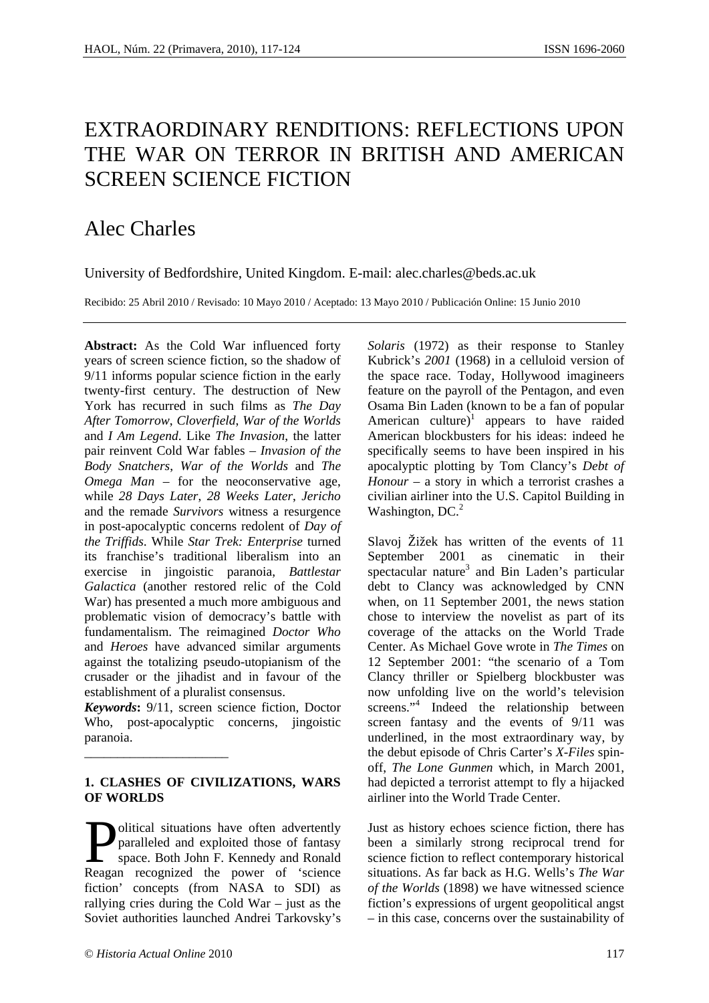# EXTRAORDINARY RENDITIONS: REFLECTIONS UPON THE WAR ON TERROR IN BRITISH AND AMERICAN SCREEN SCIENCE FICTION

## Alec Charles

University of Bedfordshire, United Kingdom. E-mail: alec.charles@beds.ac.uk

Recibido: 25 Abril 2010 / Revisado: 10 Mayo 2010 / Aceptado: 13 Mayo 2010 / Publicación Online: 15 Junio 2010

**Abstract:** As the Cold War influenced forty years of screen science fiction, so the shadow of 9/11 informs popular science fiction in the early twenty-first century. The destruction of New York has recurred in such films as *The Day After Tomorrow*, *Cloverfield*, *War of the Worlds* and *I Am Legend*. Like *The Invasion*, the latter pair reinvent Cold War fables – *Invasion of the Body Snatchers*, *War of the Worlds* and *The Omega Man* – for the neoconservative age, while *28 Days Later*, *28 Weeks Later*, *Jericho* and the remade *Survivors* witness a resurgence in post-apocalyptic concerns redolent of *Day of the Triffids*. While *Star Trek: Enterprise* turned its franchise's traditional liberalism into an exercise in jingoistic paranoia, *Battlestar Galactica* (another restored relic of the Cold War) has presented a much more ambiguous and problematic vision of democracy's battle with fundamentalism. The reimagined *Doctor Who*  and *Heroes* have advanced similar arguments against the totalizing pseudo-utopianism of the crusader or the jihadist and in favour of the establishment of a pluralist consensus.

*Keywords***:** 9/11, screen science fiction, Doctor Who, post-apocalyptic concerns, jingoistic paranoia.

#### **1. CLASHES OF CIVILIZATIONS, WARS OF WORLDS**

olitical situations have often advertently paralleled and exploited those of fantasy space. Both John F. Kennedy and Ronald **Exercise 15 Separallel School Separalleled** and exploited those of fantasy space. Both John F. Kennedy and Ronald Reagan recognized the power of 'science fiction' concepts (from NASA to SDI) as rallying cries during the Cold War – just as the Soviet authorities launched Andrei Tarkovsky's

\_\_\_\_\_\_\_\_\_\_\_\_\_\_\_\_\_\_\_\_\_\_

*Solaris* (1972) as their response to Stanley Kubrick's *2001* (1968) in a celluloid version of the space race. Today, Hollywood imagineers feature on the payroll of the Pentagon, and even Osama Bin Laden (known to be a fan of popular American culture)<sup>1</sup> appears to have raided American blockbusters for his ideas: indeed he specifically seems to have been inspired in his apocalyptic plotting by Tom Clancy's *Debt of Honour* – a story in which a terrorist crashes a civilian airliner into the U.S. Capitol Building in Washington, DC. $2$ 

Slavoj Žižek has written of the events of 11 September 2001 as cinematic in their spectacular nature<sup>3</sup> and Bin Laden's particular debt to Clancy was acknowledged by CNN when, on 11 September 2001, the news station chose to interview the novelist as part of its coverage of the attacks on the World Trade Center. As Michael Gove wrote in *The Times* on 12 September 2001: "the scenario of a Tom Clancy thriller or Spielberg blockbuster was now unfolding live on the world's television screens."<sup>4</sup> Indeed the relationship between screen fantasy and the events of 9/11 was underlined, in the most extraordinary way, by the debut episode of Chris Carter's *X-Files* spinoff, *The Lone Gunmen* which, in March 2001, had depicted a terrorist attempt to fly a hijacked airliner into the World Trade Center.

Just as history echoes science fiction, there has been a similarly strong reciprocal trend for science fiction to reflect contemporary historical situations. As far back as H.G. Wells's *The War of the Worlds* (1898) we have witnessed science fiction's expressions of urgent geopolitical angst – in this case, concerns over the sustainability of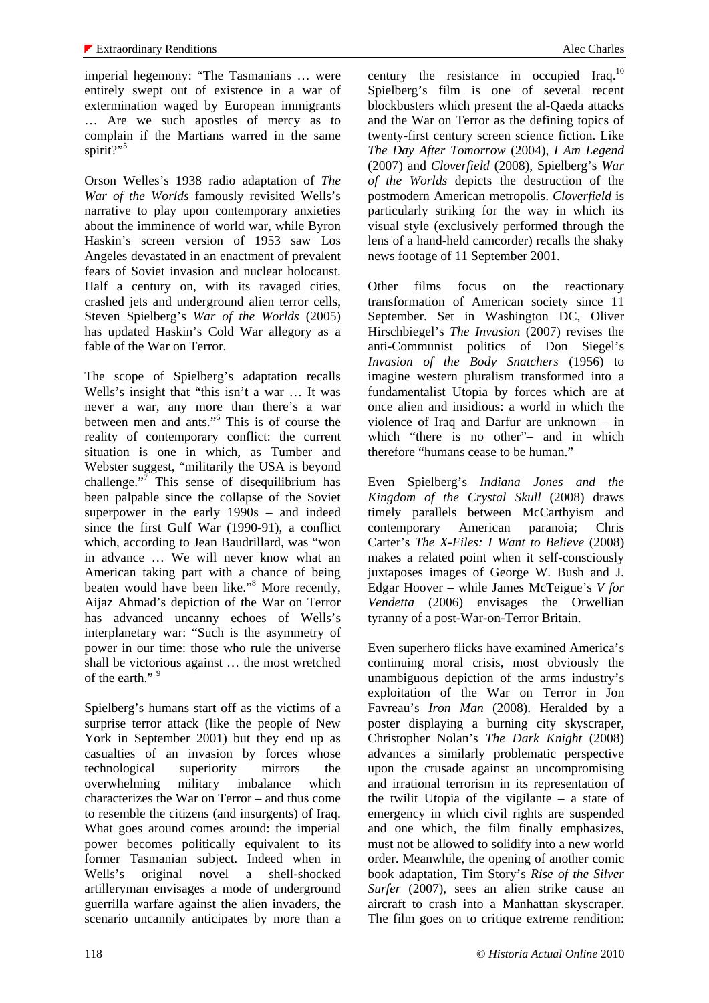imperial hegemony: "The Tasmanians … were entirely swept out of existence in a war of extermination waged by European immigrants … Are we such apostles of mercy as to complain if the Martians warred in the same spirit?"<sup>5</sup>

Orson Welles's 1938 radio adaptation of *The War of the Worlds* famously revisited Wells's narrative to play upon contemporary anxieties about the imminence of world war, while Byron Haskin's screen version of 1953 saw Los Angeles devastated in an enactment of prevalent fears of Soviet invasion and nuclear holocaust. Half a century on, with its ravaged cities, crashed jets and underground alien terror cells, Steven Spielberg's *War of the Worlds* (2005) has updated Haskin's Cold War allegory as a fable of the War on Terror.

The scope of Spielberg's adaptation recalls Wells's insight that "this isn't a war … It was never a war, any more than there's a war between men and ants."6 This is of course the reality of contemporary conflict: the current situation is one in which, as Tumber and Webster suggest, "militarily the USA is beyond challenge."<sup>7</sup> This sense of disequilibrium has been palpable since the collapse of the Soviet superpower in the early 1990s – and indeed since the first Gulf War (1990-91), a conflict which, according to Jean Baudrillard, was "won in advance … We will never know what an American taking part with a chance of being beaten would have been like."<sup>8</sup> More recently, Aijaz Ahmad's depiction of the War on Terror has advanced uncanny echoes of Wells's interplanetary war: "Such is the asymmetry of power in our time: those who rule the universe shall be victorious against … the most wretched of the earth."<sup>9</sup>

Spielberg's humans start off as the victims of a surprise terror attack (like the people of New York in September 2001) but they end up as casualties of an invasion by forces whose technological superiority mirrors the overwhelming military imbalance which characterizes the War on Terror – and thus come to resemble the citizens (and insurgents) of Iraq. What goes around comes around: the imperial power becomes politically equivalent to its former Tasmanian subject. Indeed when in Wells's original novel a shell-shocked artilleryman envisages a mode of underground guerrilla warfare against the alien invaders, the scenario uncannily anticipates by more than a century the resistance in occupied Iraq. $^{10}$ Spielberg's film is one of several recent blockbusters which present the al-Qaeda attacks and the War on Terror as the defining topics of twenty-first century screen science fiction. Like *The Day After Tomorrow* (2004), *I Am Legend* (2007) and *Cloverfield* (2008), Spielberg's *War of the Worlds* depicts the destruction of the postmodern American metropolis. *Cloverfield* is particularly striking for the way in which its visual style (exclusively performed through the lens of a hand-held camcorder) recalls the shaky news footage of 11 September 2001.

Other films focus on the reactionary transformation of American society since 11 September. Set in Washington DC, Oliver Hirschbiegel's *The Invasion* (2007) revises the anti-Communist politics of Don Siegel's *Invasion of the Body Snatchers* (1956) to imagine western pluralism transformed into a fundamentalist Utopia by forces which are at once alien and insidious: a world in which the violence of Iraq and Darfur are unknown – in which "there is no other"- and in which therefore "humans cease to be human."

Even Spielberg's *Indiana Jones and the Kingdom of the Crystal Skull* (2008) draws timely parallels between McCarthyism and contemporary American paranoia; Chris Carter's *The X-Files: I Want to Believe* (2008) makes a related point when it self-consciously juxtaposes images of George W. Bush and J. Edgar Hoover – while James McTeigue's *V for Vendetta* (2006) envisages the Orwellian tyranny of a post-War-on-Terror Britain.

Even superhero flicks have examined America's continuing moral crisis, most obviously the unambiguous depiction of the arms industry's exploitation of the War on Terror in Jon Favreau's *Iron Man* (2008). Heralded by a poster displaying a burning city skyscraper, Christopher Nolan's *The Dark Knight* (2008) advances a similarly problematic perspective upon the crusade against an uncompromising and irrational terrorism in its representation of the twilit Utopia of the vigilante – a state of emergency in which civil rights are suspended and one which, the film finally emphasizes, must not be allowed to solidify into a new world order. Meanwhile, the opening of another comic book adaptation, Tim Story's *Rise of the Silver Surfer* (2007), sees an alien strike cause an aircraft to crash into a Manhattan skyscraper. The film goes on to critique extreme rendition: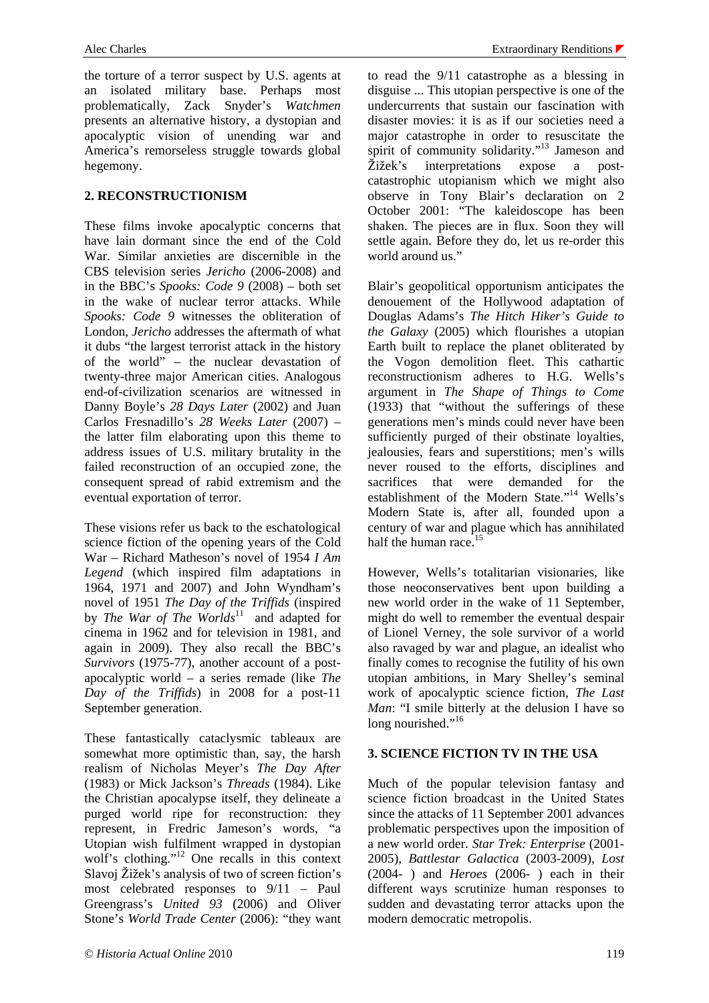the torture of a terror suspect by U.S. agents at an isolated military base. Perhaps most problematically, Zack Snyder's *Watchmen* presents an alternative history, a dystopian and apocalyptic vision of unending war and America's remorseless struggle towards global hegemony.

#### **2. RECONSTRUCTIONISM**

These films invoke apocalyptic concerns that have lain dormant since the end of the Cold War. Similar anxieties are discernible in the CBS television series *Jericho* (2006-2008) and in the BBC's *Spooks: Code 9* (2008) – both set in the wake of nuclear terror attacks. While *Spooks: Code 9* witnesses the obliteration of London, *Jericho* addresses the aftermath of what it dubs "the largest terrorist attack in the history of the world" – the nuclear devastation of twenty-three major American cities. Analogous end-of-civilization scenarios are witnessed in Danny Boyle's *28 Days Later* (2002) and Juan Carlos Fresnadillo's *28 Weeks Later* (2007) – the latter film elaborating upon this theme to address issues of U.S. military brutality in the failed reconstruction of an occupied zone, the consequent spread of rabid extremism and the eventual exportation of terror.

These visions refer us back to the eschatological science fiction of the opening years of the Cold War – Richard Matheson's novel of 1954 *I Am Legend* (which inspired film adaptations in 1964, 1971 and 2007) and John Wyndham's novel of 1951 *The Day of the Triffids* (inspired by *The War of The Worlds*<sup>11</sup> and adapted for cinema in 1962 and for television in 1981, and again in 2009). They also recall the BBC's *Survivors* (1975-77), another account of a postapocalyptic world – a series remade (like *The Day of the Triffids*) in 2008 for a post-11 September generation.

These fantastically cataclysmic tableaux are somewhat more optimistic than, say, the harsh realism of Nicholas Meyer's *The Day After* (1983) or Mick Jackson's *Threads* (1984). Like the Christian apocalypse itself, they delineate a purged world ripe for reconstruction: they represent, in Fredric Jameson's words, "a Utopian wish fulfilment wrapped in dystopian wolf's clothing."<sup>12</sup> One recalls in this context Slavoj Žižek's analysis of two of screen fiction's most celebrated responses to 9/11 – Paul Greengrass's *United 93* (2006) and Oliver Stone's *World Trade Center* (2006): "they want

to read the 9/11 catastrophe as a blessing in disguise ... This utopian perspective is one of the undercurrents that sustain our fascination with disaster movies: it is as if our societies need a major catastrophe in order to resuscitate the spirit of community solidarity."<sup>13</sup> Jameson and Žižek's interpretations expose a postcatastrophic utopianism which we might also observe in Tony Blair's declaration on 2 October 2001: "The kaleidoscope has been shaken. The pieces are in flux. Soon they will settle again. Before they do, let us re-order this world around us."

Blair's geopolitical opportunism anticipates the denouement of the Hollywood adaptation of Douglas Adams's *The Hitch Hiker's Guide to the Galaxy* (2005) which flourishes a utopian Earth built to replace the planet obliterated by the Vogon demolition fleet. This cathartic reconstructionism adheres to H.G. Wells's argument in *The Shape of Things to Come* (1933) that "without the sufferings of these generations men's minds could never have been sufficiently purged of their obstinate loyalties, jealousies, fears and superstitions; men's wills never roused to the efforts, disciplines and sacrifices that were demanded for the establishment of the Modern State."14 Wells's Modern State is, after all, founded upon a century of war and plague which has annihilated half the human race.<sup>15</sup>

However, Wells's totalitarian visionaries, like those neoconservatives bent upon building a new world order in the wake of 11 September, might do well to remember the eventual despair of Lionel Verney, the sole survivor of a world also ravaged by war and plague, an idealist who finally comes to recognise the futility of his own utopian ambitions, in Mary Shelley's seminal work of apocalyptic science fiction, *The Last Man*: "I smile bitterly at the delusion I have so long nourished."<sup>16</sup>

### **3. SCIENCE FICTION TV IN THE USA**

Much of the popular television fantasy and science fiction broadcast in the United States since the attacks of 11 September 2001 advances problematic perspectives upon the imposition of a new world order. *Star Trek: Enterprise* (2001- 2005), *Battlestar Galactica* (2003-2009), *Lost* (2004- ) and *Heroes* (2006- ) each in their different ways scrutinize human responses to sudden and devastating terror attacks upon the modern democratic metropolis.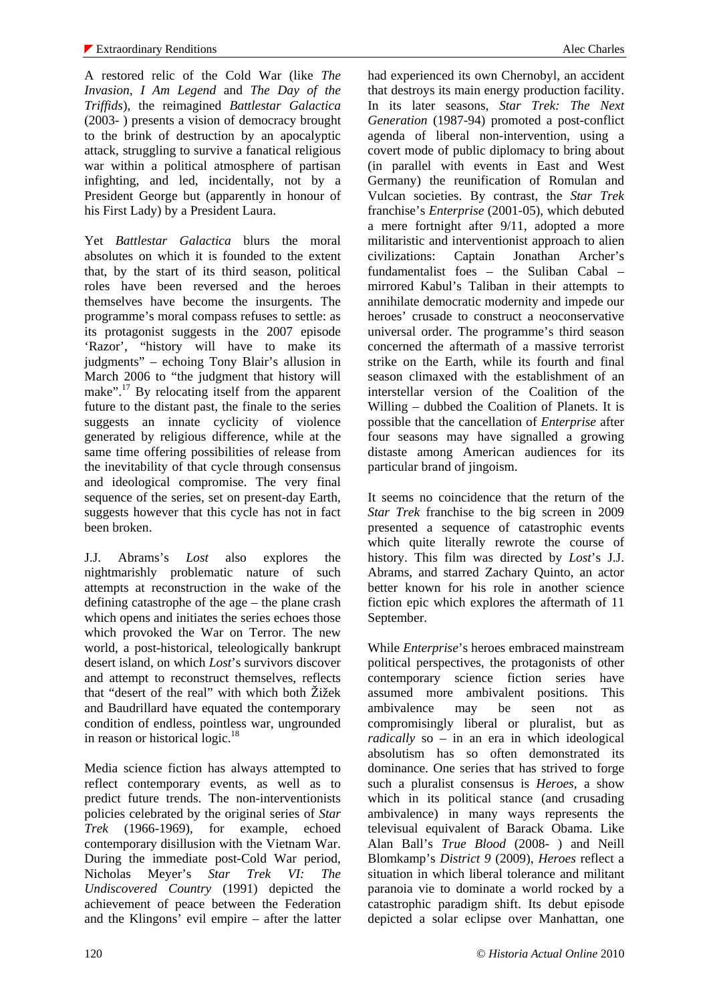A restored relic of the Cold War (like *The Invasion*, *I Am Legend* and *The Day of the Triffids*), the reimagined *Battlestar Galactica* (2003- ) presents a vision of democracy brought to the brink of destruction by an apocalyptic attack, struggling to survive a fanatical religious war within a political atmosphere of partisan infighting, and led, incidentally, not by a President George but (apparently in honour of his First Lady) by a President Laura.

Yet *Battlestar Galactica* blurs the moral absolutes on which it is founded to the extent that, by the start of its third season, political roles have been reversed and the heroes themselves have become the insurgents. The programme's moral compass refuses to settle: as its protagonist suggests in the 2007 episode 'Razor', "history will have to make its judgments" – echoing Tony Blair's allusion in March 2006 to "the judgment that history will make".<sup>17</sup> By relocating itself from the apparent future to the distant past, the finale to the series suggests an innate cyclicity of violence generated by religious difference, while at the same time offering possibilities of release from the inevitability of that cycle through consensus and ideological compromise. The very final sequence of the series, set on present-day Earth, suggests however that this cycle has not in fact been broken.

J.J. Abrams's *Lost* also explores the nightmarishly problematic nature of such attempts at reconstruction in the wake of the defining catastrophe of the age – the plane crash which opens and initiates the series echoes those which provoked the War on Terror. The new world, a post-historical, teleologically bankrupt desert island, on which *Lost*'s survivors discover and attempt to reconstruct themselves, reflects that "desert of the real" with which both Žižek and Baudrillard have equated the contemporary condition of endless, pointless war, ungrounded in reason or historical logic.<sup>18</sup>

Media science fiction has always attempted to reflect contemporary events, as well as to predict future trends. The non-interventionists policies celebrated by the original series of *Star Trek* (1966-1969), for example, echoed contemporary disillusion with the Vietnam War. During the immediate post-Cold War period, Nicholas Meyer's *Star Trek VI: The Undiscovered Country* (1991) depicted the achievement of peace between the Federation and the Klingons' evil empire – after the latter had experienced its own Chernobyl, an accident that destroys its main energy production facility. In its later seasons, *Star Trek: The Next Generation* (1987-94) promoted a post-conflict agenda of liberal non-intervention, using a covert mode of public diplomacy to bring about (in parallel with events in East and West Germany) the reunification of Romulan and Vulcan societies. By contrast, the *Star Trek* franchise's *Enterprise* (2001-05), which debuted a mere fortnight after 9/11, adopted a more militaristic and interventionist approach to alien civilizations: Captain Jonathan Archer's fundamentalist foes – the Suliban Cabal – mirrored Kabul's Taliban in their attempts to annihilate democratic modernity and impede our heroes' crusade to construct a neoconservative universal order. The programme's third season concerned the aftermath of a massive terrorist strike on the Earth, while its fourth and final season climaxed with the establishment of an interstellar version of the Coalition of the Willing – dubbed the Coalition of Planets. It is possible that the cancellation of *Enterprise* after four seasons may have signalled a growing distaste among American audiences for its particular brand of jingoism.

It seems no coincidence that the return of the *Star Trek* franchise to the big screen in 2009 presented a sequence of catastrophic events which quite literally rewrote the course of history. This film was directed by *Lost*'s J.J. Abrams, and starred Zachary Quinto, an actor better known for his role in another science fiction epic which explores the aftermath of 11 September.

While *Enterprise*'s heroes embraced mainstream political perspectives, the protagonists of other contemporary science fiction series have assumed more ambivalent positions. This ambivalence may be seen not as compromisingly liberal or pluralist, but as *radically* so – in an era in which ideological absolutism has so often demonstrated its dominance. One series that has strived to forge such a pluralist consensus is *Heroes*, a show which in its political stance (and crusading ambivalence) in many ways represents the televisual equivalent of Barack Obama. Like Alan Ball's *True Blood* (2008- ) and Neill Blomkamp's *District 9* (2009), *Heroes* reflect a situation in which liberal tolerance and militant paranoia vie to dominate a world rocked by a catastrophic paradigm shift. Its debut episode depicted a solar eclipse over Manhattan, one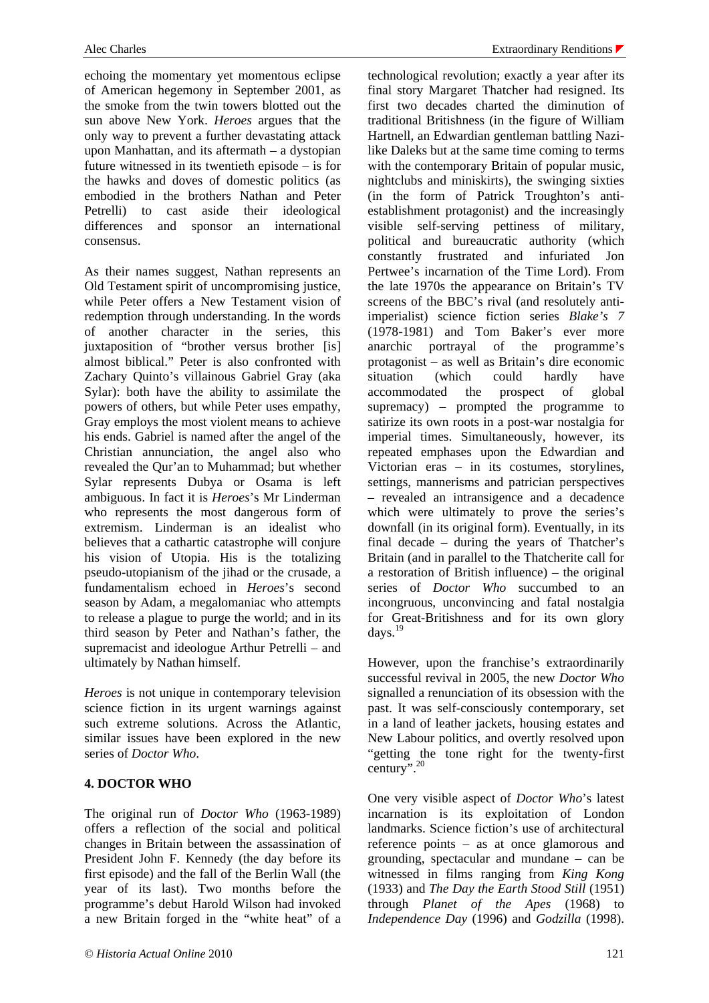echoing the momentary yet momentous eclipse of American hegemony in September 2001, as the smoke from the twin towers blotted out the sun above New York. *Heroes* argues that the only way to prevent a further devastating attack upon Manhattan, and its aftermath – a dystopian future witnessed in its twentieth episode – is for the hawks and doves of domestic politics (as embodied in the brothers Nathan and Peter Petrelli) to cast aside their ideological differences and sponsor an international consensus.

As their names suggest, Nathan represents an Old Testament spirit of uncompromising justice, while Peter offers a New Testament vision of redemption through understanding. In the words of another character in the series, this juxtaposition of "brother versus brother [is] almost biblical." Peter is also confronted with Zachary Quinto's villainous Gabriel Gray (aka Sylar): both have the ability to assimilate the powers of others, but while Peter uses empathy, Gray employs the most violent means to achieve his ends. Gabriel is named after the angel of the Christian annunciation, the angel also who revealed the Qur'an to Muhammad; but whether Sylar represents Dubya or Osama is left ambiguous. In fact it is *Heroes*'s Mr Linderman who represents the most dangerous form of extremism. Linderman is an idealist who believes that a cathartic catastrophe will conjure his vision of Utopia. His is the totalizing pseudo-utopianism of the jihad or the crusade, a fundamentalism echoed in *Heroes*'s second season by Adam, a megalomaniac who attempts to release a plague to purge the world; and in its third season by Peter and Nathan's father, the supremacist and ideologue Arthur Petrelli – and ultimately by Nathan himself.

*Heroes* is not unique in contemporary television science fiction in its urgent warnings against such extreme solutions. Across the Atlantic, similar issues have been explored in the new series of *Doctor Who*.

### **4. DOCTOR WHO**

The original run of *Doctor Who* (1963-1989) offers a reflection of the social and political changes in Britain between the assassination of President John F. Kennedy (the day before its first episode) and the fall of the Berlin Wall (the year of its last). Two months before the programme's debut Harold Wilson had invoked a new Britain forged in the "white heat" of a

technological revolution; exactly a year after its final story Margaret Thatcher had resigned. Its first two decades charted the diminution of traditional Britishness (in the figure of William Hartnell, an Edwardian gentleman battling Nazilike Daleks but at the same time coming to terms with the contemporary Britain of popular music, nightclubs and miniskirts), the swinging sixties (in the form of Patrick Troughton's antiestablishment protagonist) and the increasingly visible self-serving pettiness of military, political and bureaucratic authority (which constantly frustrated and infuriated Jon Pertwee's incarnation of the Time Lord). From the late 1970s the appearance on Britain's TV screens of the BBC's rival (and resolutely antiimperialist) science fiction series *Blake's 7* (1978-1981) and Tom Baker's ever more anarchic portrayal of the programme's protagonist – as well as Britain's dire economic situation (which could hardly have accommodated the prospect of global supremacy) – prompted the programme to satirize its own roots in a post-war nostalgia for imperial times. Simultaneously, however, its repeated emphases upon the Edwardian and Victorian eras – in its costumes, storylines, settings, mannerisms and patrician perspectives – revealed an intransigence and a decadence which were ultimately to prove the series's downfall (in its original form). Eventually, in its final decade – during the years of Thatcher's Britain (and in parallel to the Thatcherite call for a restoration of British influence) – the original series of *Doctor Who* succumbed to an incongruous, unconvincing and fatal nostalgia for Great-Britishness and for its own glory  $d$ avs.<sup>19</sup>

However, upon the franchise's extraordinarily successful revival in 2005, the new *Doctor Who* signalled a renunciation of its obsession with the past. It was self-consciously contemporary, set in a land of leather jackets, housing estates and New Labour politics, and overtly resolved upon "getting the tone right for the twenty-first century".<sup>20</sup>

One very visible aspect of *Doctor Who*'s latest incarnation is its exploitation of London landmarks. Science fiction's use of architectural reference points – as at once glamorous and grounding, spectacular and mundane – can be witnessed in films ranging from *King Kong* (1933) and *The Day the Earth Stood Still* (1951) through *Planet of the Apes* (1968) to *Independence Day* (1996) and *Godzilla* (1998).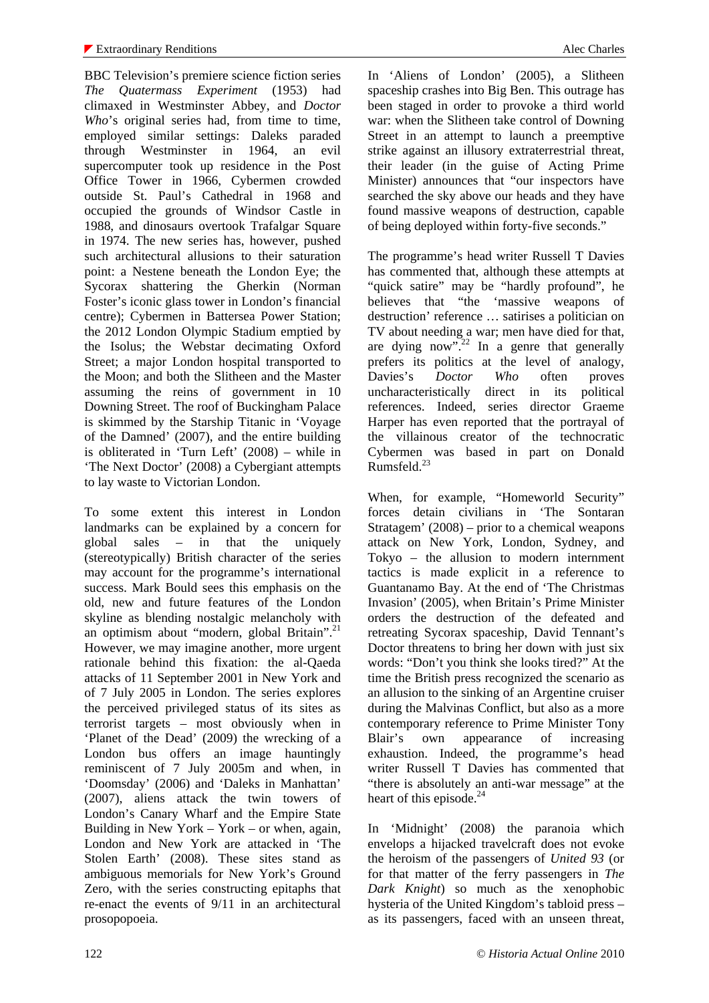BBC Television's premiere science fiction series *The Quatermass Experiment* (1953) had climaxed in Westminster Abbey, and *Doctor Who*'s original series had, from time to time, employed similar settings: Daleks paraded through Westminster in 1964, an evil supercomputer took up residence in the Post Office Tower in 1966, Cybermen crowded outside St. Paul's Cathedral in 1968 and occupied the grounds of Windsor Castle in 1988, and dinosaurs overtook Trafalgar Square in 1974. The new series has, however, pushed such architectural allusions to their saturation point: a Nestene beneath the London Eye; the Sycorax shattering the Gherkin (Norman Foster's iconic glass tower in London's financial centre); Cybermen in Battersea Power Station; the 2012 London Olympic Stadium emptied by the Isolus; the Webstar decimating Oxford Street; a major London hospital transported to the Moon; and both the Slitheen and the Master assuming the reins of government in 10 Downing Street. The roof of Buckingham Palace is skimmed by the Starship Titanic in 'Voyage of the Damned' (2007), and the entire building is obliterated in 'Turn Left' (2008) – while in 'The Next Doctor' (2008) a Cybergiant attempts to lay waste to Victorian London.

To some extent this interest in London landmarks can be explained by a concern for global sales – in that the uniquely (stereotypically) British character of the series may account for the programme's international success. Mark Bould sees this emphasis on the old, new and future features of the London skyline as blending nostalgic melancholy with an optimism about "modern, global Britain".<sup>21</sup> However, we may imagine another, more urgent rationale behind this fixation: the al-Qaeda attacks of 11 September 2001 in New York and of 7 July 2005 in London. The series explores the perceived privileged status of its sites as terrorist targets – most obviously when in 'Planet of the Dead' (2009) the wrecking of a London bus offers an image hauntingly reminiscent of 7 July 2005m and when, in 'Doomsday' (2006) and 'Daleks in Manhattan' (2007), aliens attack the twin towers of London's Canary Wharf and the Empire State Building in New York – York – or when, again, London and New York are attacked in 'The Stolen Earth' (2008). These sites stand as ambiguous memorials for New York's Ground Zero, with the series constructing epitaphs that re-enact the events of 9/11 in an architectural prosopopoeia.

In 'Aliens of London' (2005), a Slitheen spaceship crashes into Big Ben. This outrage has been staged in order to provoke a third world war: when the Slitheen take control of Downing Street in an attempt to launch a preemptive strike against an illusory extraterrestrial threat, their leader (in the guise of Acting Prime Minister) announces that "our inspectors have searched the sky above our heads and they have found massive weapons of destruction, capable of being deployed within forty-five seconds."

The programme's head writer Russell T Davies has commented that, although these attempts at "quick satire" may be "hardly profound", he believes that "the 'massive weapons of destruction' reference … satirises a politician on TV about needing a war; men have died for that, are dying now".<sup>22</sup> In a genre that generally prefers its politics at the level of analogy, Davies's *Doctor Who* often proves uncharacteristically direct in its political references. Indeed, series director Graeme Harper has even reported that the portrayal of the villainous creator of the technocratic Cybermen was based in part on Donald Rumsfeld.<sup>23</sup>

When, for example, "Homeworld Security" forces detain civilians in 'The Sontaran Stratagem' (2008) – prior to a chemical weapons attack on New York, London, Sydney, and Tokyo – the allusion to modern internment tactics is made explicit in a reference to Guantanamo Bay. At the end of 'The Christmas Invasion' (2005), when Britain's Prime Minister orders the destruction of the defeated and retreating Sycorax spaceship, David Tennant's Doctor threatens to bring her down with just six words: "Don't you think she looks tired?" At the time the British press recognized the scenario as an allusion to the sinking of an Argentine cruiser during the Malvinas Conflict, but also as a more contemporary reference to Prime Minister Tony Blair's own appearance of increasing exhaustion. Indeed, the programme's head writer Russell T Davies has commented that "there is absolutely an anti-war message" at the heart of this episode. $^{24}$ 

In 'Midnight' (2008) the paranoia which envelops a hijacked travelcraft does not evoke the heroism of the passengers of *United 93* (or for that matter of the ferry passengers in *The Dark Knight*) so much as the xenophobic hysteria of the United Kingdom's tabloid press – as its passengers, faced with an unseen threat,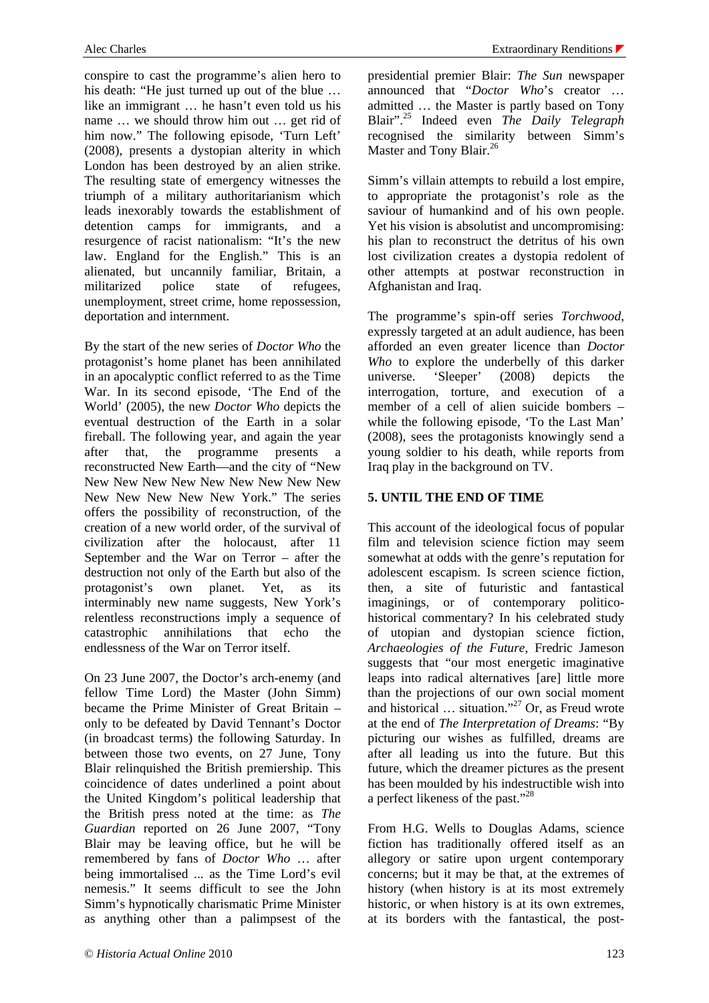conspire to cast the programme's alien hero to his death: "He just turned up out of the blue … like an immigrant … he hasn't even told us his name … we should throw him out … get rid of him now." The following episode, 'Turn Left' (2008), presents a dystopian alterity in which London has been destroyed by an alien strike. The resulting state of emergency witnesses the triumph of a military authoritarianism which leads inexorably towards the establishment of detention camps for immigrants, and a resurgence of racist nationalism: "It's the new law. England for the English." This is an alienated, but uncannily familiar, Britain, a militarized police state of refugees, unemployment, street crime, home repossession, deportation and internment.

By the start of the new series of *Doctor Who* the protagonist's home planet has been annihilated in an apocalyptic conflict referred to as the Time War. In its second episode, 'The End of the World' (2005), the new *Doctor Who* depicts the eventual destruction of the Earth in a solar fireball. The following year, and again the year after that, the programme presents a reconstructed New Earth—and the city of "New New New New New New New New New New New New New New New York." The series offers the possibility of reconstruction, of the creation of a new world order, of the survival of civilization after the holocaust, after 11 September and the War on Terror – after the destruction not only of the Earth but also of the protagonist's own planet. Yet, as its interminably new name suggests, New York's relentless reconstructions imply a sequence of catastrophic annihilations that echo the endlessness of the War on Terror itself.

On 23 June 2007, the Doctor's arch-enemy (and fellow Time Lord) the Master (John Simm) became the Prime Minister of Great Britain – only to be defeated by David Tennant's Doctor (in broadcast terms) the following Saturday. In between those two events, on 27 June, Tony Blair relinquished the British premiership. This coincidence of dates underlined a point about the United Kingdom's political leadership that the British press noted at the time: as *The Guardian* reported on 26 June 2007, "Tony Blair may be leaving office, but he will be remembered by fans of *Doctor Who* … after being immortalised ... as the Time Lord's evil nemesis." It seems difficult to see the John Simm's hypnotically charismatic Prime Minister as anything other than a palimpsest of the

presidential premier Blair: *The Sun* newspaper announced that "*Doctor Who*'s creator … admitted … the Master is partly based on Tony Blair".25 Indeed even *The Daily Telegraph* recognised the similarity between Simm's Master and Tony Blair.<sup>26</sup>

Simm's villain attempts to rebuild a lost empire, to appropriate the protagonist's role as the saviour of humankind and of his own people. Yet his vision is absolutist and uncompromising: his plan to reconstruct the detritus of his own lost civilization creates a dystopia redolent of other attempts at postwar reconstruction in Afghanistan and Iraq.

The programme's spin-off series *Torchwood*, expressly targeted at an adult audience, has been afforded an even greater licence than *Doctor Who* to explore the underbelly of this darker universe. 'Sleeper' (2008) depicts the interrogation, torture, and execution of a member of a cell of alien suicide bombers – while the following episode, 'To the Last Man' (2008), sees the protagonists knowingly send a young soldier to his death, while reports from Iraq play in the background on TV.

## **5. UNTIL THE END OF TIME**

This account of the ideological focus of popular film and television science fiction may seem somewhat at odds with the genre's reputation for adolescent escapism. Is screen science fiction, then, a site of futuristic and fantastical imaginings, or of contemporary politicohistorical commentary? In his celebrated study of utopian and dystopian science fiction, *Archaeologies of the Future*, Fredric Jameson suggests that "our most energetic imaginative leaps into radical alternatives [are] little more than the projections of our own social moment and historical ... situation."<sup>27</sup> Or, as Freud wrote at the end of *The Interpretation of Dreams*: "By picturing our wishes as fulfilled, dreams are after all leading us into the future. But this future, which the dreamer pictures as the present has been moulded by his indestructible wish into a perfect likeness of the past."28

From H.G. Wells to Douglas Adams, science fiction has traditionally offered itself as an allegory or satire upon urgent contemporary concerns; but it may be that, at the extremes of history (when history is at its most extremely historic, or when history is at its own extremes, at its borders with the fantastical, the post-